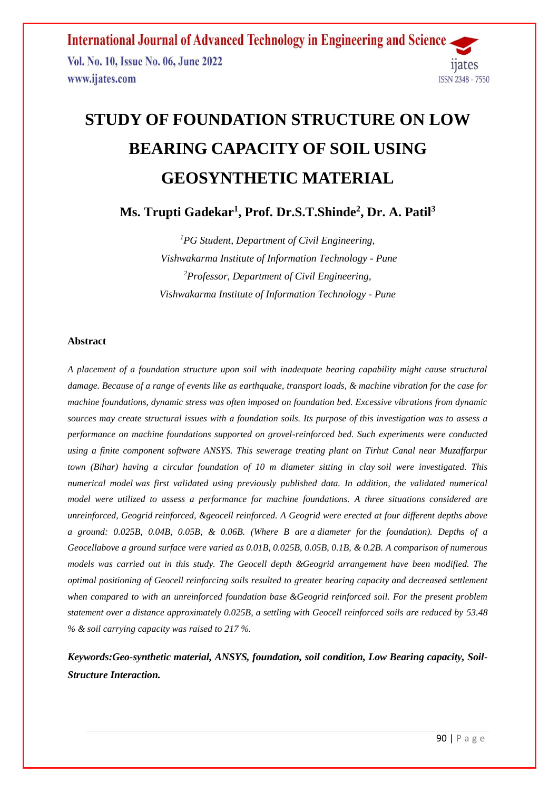# **STUDY OF FOUNDATION STRUCTURE ON LOW BEARING CAPACITY OF SOIL USING GEOSYNTHETIC MATERIAL**

**Ms. Trupti Gadekar<sup>1</sup> , Prof. Dr.S.T.Shinde<sup>2</sup> , Dr. A. Patil<sup>3</sup>**

*<sup>1</sup>PG Student, Department of Civil Engineering, Vishwakarma Institute of Information Technology - Pune <sup>2</sup>Professor, Department of Civil Engineering, Vishwakarma Institute of Information Technology - Pune*

## **Abstract**

*A placement of a foundation structure upon soil with inadequate bearing capability might cause structural damage. Because of a range of events like as earthquake, transport loads, & machine vibration for the case for machine foundations, dynamic stress was often imposed on foundation bed. Excessive vibrations from dynamic sources may create structural issues with a foundation soils. Its purpose of this investigation was to assess a performance on machine foundations supported on grovel-reinforced bed. Such experiments were conducted using a finite component software ANSYS. This sewerage treating plant on Tirhut Canal near Muzaffarpur town (Bihar) having a circular foundation of 10 m diameter sitting in clay soil were investigated. This numerical model was first validated using previously published data. In addition, the validated numerical model were utilized to assess a performance for machine foundations. A three situations considered are unreinforced, Geogrid reinforced, &geocell reinforced. A Geogrid were erected at four different depths above a ground: 0.025B, 0.04B, 0.05B, & 0.06B. (Where B are a diameter for the foundation). Depths of a Geocellabove a ground surface were varied as 0.01B, 0.025B, 0.05B, 0.1B, & 0.2B. A comparison of numerous models was carried out in this study. The Geocell depth &Geogrid arrangement have been modified. The optimal positioning of Geocell reinforcing soils resulted to greater bearing capacity and decreased settlement when compared to with an unreinforced foundation base &Geogrid reinforced soil. For the present problem statement over a distance approximately 0.025B, a settling with Geocell reinforced soils are reduced by 53.48 % & soil carrying capacity was raised to 217 %.*

*Keywords:Geo-synthetic material, ANSYS, foundation, soil condition, Low Bearing capacity, Soil-Structure Interaction.*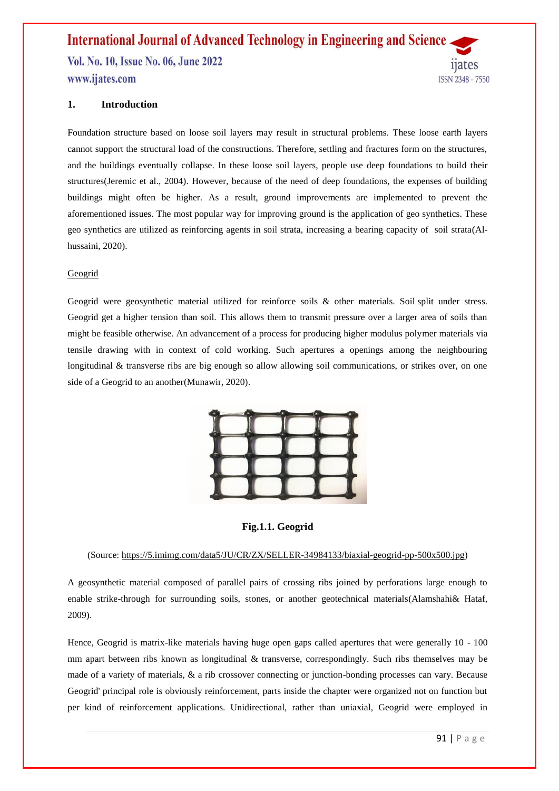# **1. Introduction**

Foundation structure based on loose soil layers may result in structural problems. These loose earth layers cannot support the structural load of the constructions. Therefore, settling and fractures form on the structures, and the buildings eventually collapse. In these loose soil layers, people use deep foundations to build their structures(Jeremic et al., 2004). However, because of the need of deep foundations, the expenses of building buildings might often be higher. As a result, ground improvements are implemented to prevent the aforementioned issues. The most popular way for improving ground is the application of geo synthetics. These geo synthetics are utilized as reinforcing agents in soil strata, increasing a bearing capacity of soil strata(Alhussaini, 2020).

#### Geogrid

Geogrid were geosynthetic material utilized for reinforce soils & other materials. Soil split under stress. Geogrid get a higher tension than soil. This allows them to transmit pressure over a larger area of soils than might be feasible otherwise. An advancement of a process for producing higher modulus polymer materials via tensile drawing with in context of cold working. Such apertures a openings among the neighbouring longitudinal & transverse ribs are big enough so allow allowing soil communications, or strikes over, on one side of a Geogrid to an another(Munawir, 2020).



**Fig.1.1. Geogrid**

#### (Source[: https://5.imimg.com/data5/JU/CR/ZX/SELLER-34984133/biaxial-geogrid-pp-500x500.jpg\)](https://5.imimg.com/data5/JU/CR/ZX/SELLER-34984133/biaxial-geogrid-pp-500x500.jpg)

A geosynthetic material composed of parallel pairs of crossing ribs joined by perforations large enough to enable strike-through for surrounding soils, stones, or another geotechnical materials(Alamshahi& Hataf, 2009).

Hence, Geogrid is matrix-like materials having huge open gaps called apertures that were generally 10 - 100 mm apart between ribs known as longitudinal & transverse, correspondingly. Such ribs themselves may be made of a variety of materials, & a rib crossover connecting or junction-bonding processes can vary. Because Geogrid' principal role is obviously reinforcement, parts inside the chapter were organized not on function but per kind of reinforcement applications. Unidirectional, rather than uniaxial, Geogrid were employed in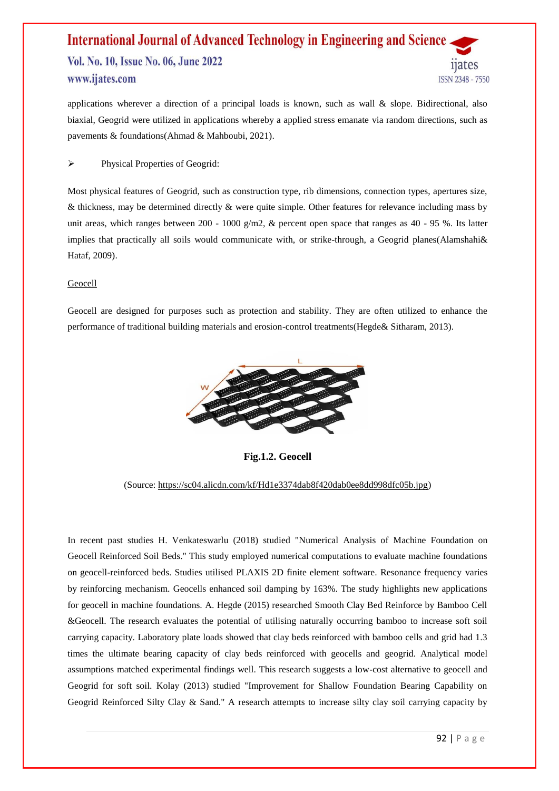applications wherever a direction of a principal loads is known, such as wall & slope. Bidirectional, also biaxial, Geogrid were utilized in applications whereby a applied stress emanate via random directions, such as pavements & foundations(Ahmad & Mahboubi, 2021).

Physical Properties of Geogrid:

Most physical features of Geogrid, such as construction type, rib dimensions, connection types, apertures size, & thickness, may be determined directly & were quite simple. Other features for relevance including mass by unit areas, which ranges between 200 - 1000 g/m2, & percent open space that ranges as 40 - 95 %. Its latter implies that practically all soils would communicate with, or strike-through, a Geogrid planes(Alamshahi& Hataf, 2009).

#### **Geocell**

Geocell are designed for purposes such as protection and stability. They are often utilized to enhance the performance of traditional building materials and erosion-control treatments(Hegde& Sitharam, 2013).



**Fig.1.2. Geocell**

#### (Source: [https://sc04.alicdn.com/kf/Hd1e3374dab8f420dab0ee8dd998dfc05b.jpg\)](https://sc04.alicdn.com/kf/Hd1e3374dab8f420dab0ee8dd998dfc05b.jpg)

In recent past studies H. Venkateswarlu (2018) studied "Numerical Analysis of Machine Foundation on Geocell Reinforced Soil Beds." This study employed numerical computations to evaluate machine foundations on geocell-reinforced beds. Studies utilised PLAXIS 2D finite element software. Resonance frequency varies by reinforcing mechanism. Geocells enhanced soil damping by 163%. The study highlights new applications for geocell in machine foundations. A. Hegde (2015) researched Smooth Clay Bed Reinforce by Bamboo Cell &Geocell. The research evaluates the potential of utilising naturally occurring bamboo to increase soft soil carrying capacity. Laboratory plate loads showed that clay beds reinforced with bamboo cells and grid had 1.3 times the ultimate bearing capacity of clay beds reinforced with geocells and geogrid. Analytical model assumptions matched experimental findings well. This research suggests a low-cost alternative to geocell and Geogrid for soft soil. Kolay (2013) studied "Improvement for Shallow Foundation Bearing Capability on Geogrid Reinforced Silty Clay & Sand." A research attempts to increase silty clay soil carrying capacity by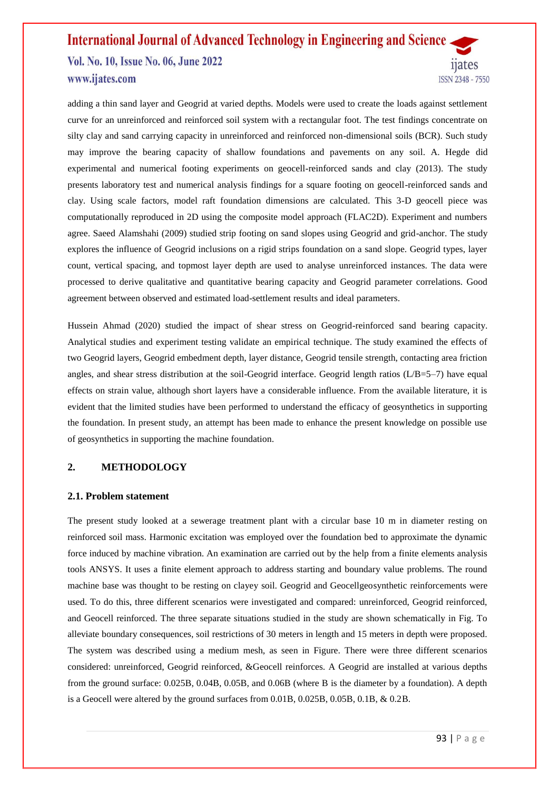# **International Journal of Advanced Technology in Engineering and Science**

Vol. No. 10, Issue No. 06, June 2022 www.ijates.com

adding a thin sand layer and Geogrid at varied depths. Models were used to create the loads against settlement curve for an unreinforced and reinforced soil system with a rectangular foot. The test findings concentrate on silty clay and sand carrying capacity in unreinforced and reinforced non-dimensional soils (BCR). Such study may improve the bearing capacity of shallow foundations and pavements on any soil. A. Hegde did experimental and numerical footing experiments on geocell-reinforced sands and clay (2013). The study presents laboratory test and numerical analysis findings for a square footing on geocell-reinforced sands and clay. Using scale factors, model raft foundation dimensions are calculated. This 3-D geocell piece was computationally reproduced in 2D using the composite model approach (FLAC2D). Experiment and numbers agree. Saeed Alamshahi (2009) studied strip footing on sand slopes using Geogrid and grid-anchor. The study explores the influence of Geogrid inclusions on a rigid strips foundation on a sand slope. Geogrid types, layer count, vertical spacing, and topmost layer depth are used to analyse unreinforced instances. The data were processed to derive qualitative and quantitative bearing capacity and Geogrid parameter correlations. Good agreement between observed and estimated load-settlement results and ideal parameters.

Hussein Ahmad (2020) studied the impact of shear stress on Geogrid-reinforced sand bearing capacity. Analytical studies and experiment testing validate an empirical technique. The study examined the effects of two Geogrid layers, Geogrid embedment depth, layer distance, Geogrid tensile strength, contacting area friction angles, and shear stress distribution at the soil-Geogrid interface. Geogrid length ratios (L/B=5–7) have equal effects on strain value, although short layers have a considerable influence. From the available literature, it is evident that the limited studies have been performed to understand the efficacy of geosynthetics in supporting the foundation. In present study, an attempt has been made to enhance the present knowledge on possible use of geosynthetics in supporting the machine foundation.

# **2. METHODOLOGY**

### **2.1. Problem statement**

The present study looked at a sewerage treatment plant with a circular base 10 m in diameter resting on reinforced soil mass. Harmonic excitation was employed over the foundation bed to approximate the dynamic force induced by machine vibration. An examination are carried out by the help from a finite elements analysis tools ANSYS. It uses a finite element approach to address starting and boundary value problems. The round machine base was thought to be resting on clayey soil. Geogrid and Geocellgeosynthetic reinforcements were used. To do this, three different scenarios were investigated and compared: unreinforced, Geogrid reinforced, and Geocell reinforced. The three separate situations studied in the study are shown schematically in Fig. To alleviate boundary consequences, soil restrictions of 30 meters in length and 15 meters in depth were proposed. The system was described using a medium mesh, as seen in Figure. There were three different scenarios considered: unreinforced, Geogrid reinforced, &Geocell reinforces. A Geogrid are installed at various depths from the ground surface: 0.025B, 0.04B, 0.05B, and 0.06B (where B is the diameter by a foundation). A depth is a Geocell were altered by the ground surfaces from 0.01B, 0.025B, 0.05B, 0.1B, & 0.2B.

*nates* 

ISSN 2348 - 7550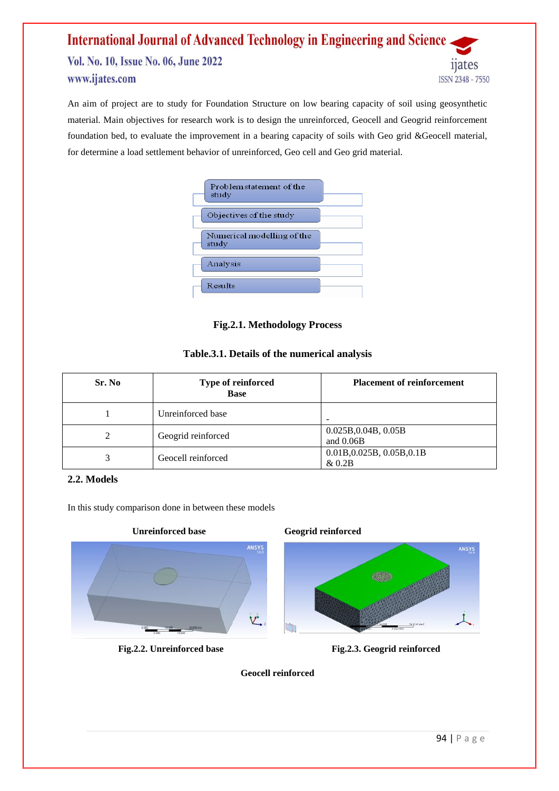An aim of project are to study for Foundation Structure on low bearing capacity of soil using geosynthetic material. Main objectives for research work is to design the unreinforced, Geocell and Geogrid reinforcement foundation bed, to evaluate the improvement in a bearing capacity of soils with Geo grid &Geocell material, for determine a load settlement behavior of unreinforced, Geo cell and Geo grid material.

| Problem statement of the<br>study   |
|-------------------------------------|
| Objectives of the study             |
| Numerical modelling of the<br>study |
| Analysis                            |
| Results                             |

# **Fig.2.1. Methodology Process**

# **Table.3.1. Details of the numerical analysis**

| Sr. No | Type of reinforced<br><b>Base</b> | <b>Placement of reinforcement</b>   |
|--------|-----------------------------------|-------------------------------------|
|        | Unreinforced base                 | -                                   |
|        | Geogrid reinforced                | 0.025B, 0.04B, 0.05B<br>and $0.06B$ |
|        | Geocell reinforced                | 0.01B, 0.025B, 0.05B, 0.1B<br>&0.2B |

# **2.2. Models**

In this study comparison done in between these models







**Fig.2.2. Unreinforced base Fig.2.3. Geogrid reinforced**

**Geocell reinforced**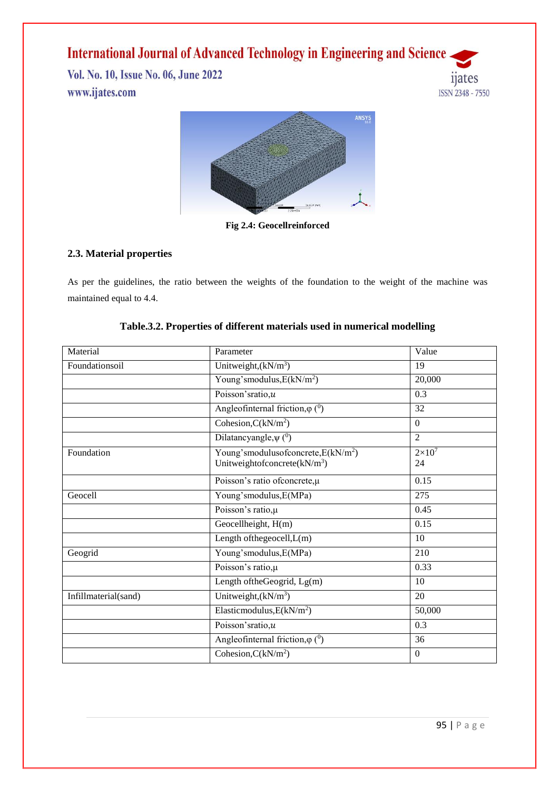# **International Journal of Advanced Technology in Engineering and Science.**

Vol. No. 10, Issue No. 06, June 2022 www.ijates.com





**Fig 2.4: Geocellreinforced**

# **2.3. Material properties**

As per the guidelines, the ratio between the weights of the foundation to the weight of the machine was maintained equal to 4.4.

| Material             | Parameter                                                                                | Value               |  |
|----------------------|------------------------------------------------------------------------------------------|---------------------|--|
| Foundationsoil       | Unitweight, $(kN/m^3)$                                                                   | 19                  |  |
|                      | Young's modulus, $E(kN/m^2)$                                                             | 20,000              |  |
|                      | Poisson'sratio, $u$                                                                      | 0.3                 |  |
|                      | Angleofinternal friction, $\varphi$ ( <sup>0</sup> )                                     | 32                  |  |
|                      | $\overline{\text{Cohesion,C}}(\text{kN/m}^2)$                                            | $\Omega$            |  |
|                      | Dilatancyangle, $\psi$ ( <sup>0</sup> )                                                  | $\overline{2}$      |  |
| Foundation           | Young's modulus of concrete, $E(kN/m^2)$<br>Unitweight<br>ofconcrete(kN/m <sup>3</sup> ) | $2\times10^7$<br>24 |  |
|                      | Poisson's ratio ofconcrete, µ                                                            | 0.15                |  |
| Geocell              | Young'smodulus, E(MPa)                                                                   | 275                 |  |
|                      | Poisson's ratio, µ                                                                       | 0.45                |  |
|                      | Geocellheight, $H(m)$                                                                    | 0.15                |  |
|                      | Length of the geocell, L(m)                                                              | 10                  |  |
| Geogrid              | Young'smodulus, E(MPa)                                                                   | 210                 |  |
|                      | Poisson's ratio, µ                                                                       | 0.33                |  |
|                      | Length of the Geogrid, $Lg(m)$                                                           | 10                  |  |
| Infillmaterial(sand) | Unitweight, $(kN/m^3)$                                                                   | 20                  |  |
|                      | Elasticmodulus, $E(kN/m^2)$                                                              | 50,000              |  |
|                      | Poisson'sratio,u                                                                         | 0.3                 |  |
|                      | Angleofinternal friction, $\varphi$ ( <sup>0</sup> )                                     | 36                  |  |
|                      | Cohesion, $C(kN/m2)$                                                                     | $\Omega$            |  |

| Table.3.2. Properties of different materials used in numerical modelling |  |  |  |
|--------------------------------------------------------------------------|--|--|--|
|                                                                          |  |  |  |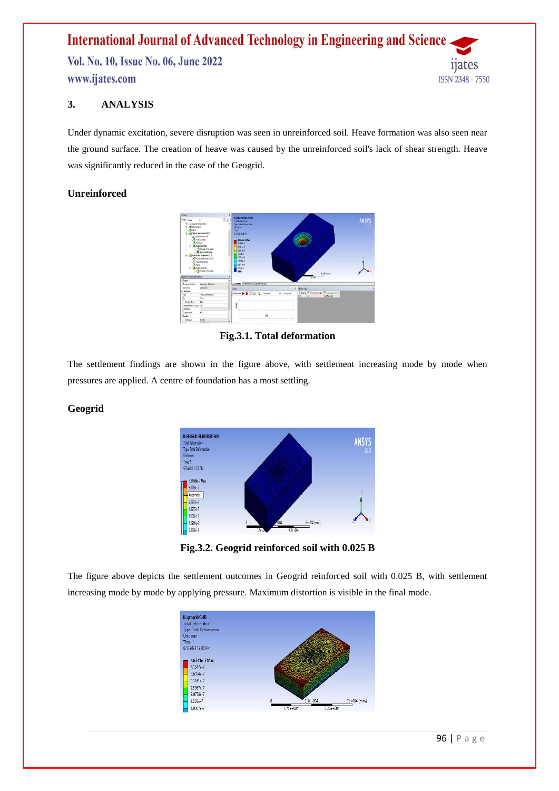# **3. ANALYSIS**

Under dynamic excitation, severe disruption was seen in unreinforced soil. Heave formation was also seen near the ground surface. The creation of heave was caused by the unreinforced soil's lack of shear strength. Heave was significantly reduced in the case of the Geogrid.

# **Unreinforced**



**Fig.3.1. Total deformation**

The settlement findings are shown in the figure above, with settlement increasing mode by mode when pressures are applied. A centre of foundation has a most settling.

# **Geogrid**



**Fig.3.2. Geogrid reinforced soil with 0.025 B**

The figure above depicts the settlement outcomes in Geogrid reinforced soil with 0.025 B, with settlement increasing mode by mode by applying pressure. Maximum distortion is visible in the final mode.

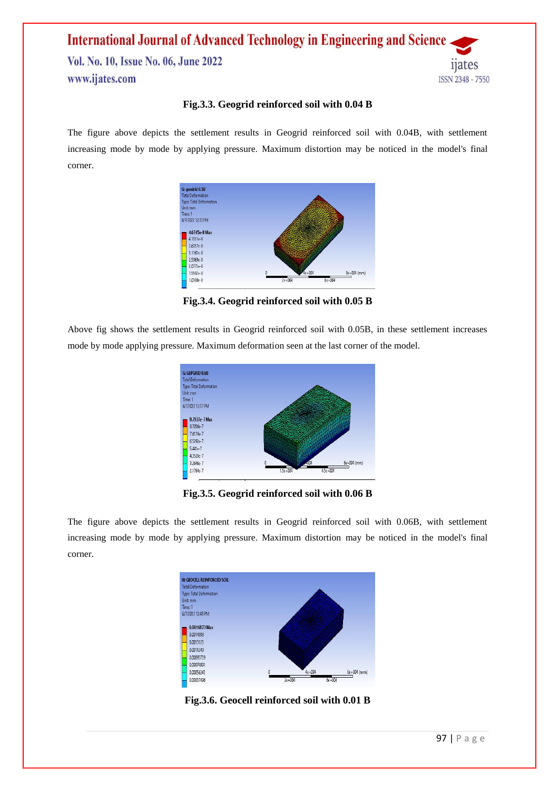# **Fig.3.3. Geogrid reinforced soil with 0.04 B**

The figure above depicts the settlement results in Geogrid reinforced soil with 0.04B, with settlement increasing mode by mode by applying pressure. Maximum distortion may be noticed in the model's final corner.



**Fig.3.4. Geogrid reinforced soil with 0.05 B**

Above fig shows the settlement results in Geogrid reinforced soil with 0.05B, in these settlement increases mode by mode applying pressure. Maximum deformation seen at the last corner of the model.



**Fig.3.5. Geogrid reinforced soil with 0.06 B**

The figure above depicts the settlement results in Geogrid reinforced soil with 0.06B, with settlement increasing mode by mode by applying pressure. Maximum distortion may be noticed in the model's final corner.



**Fig.3.6. Geocell reinforced soil with 0.01 B**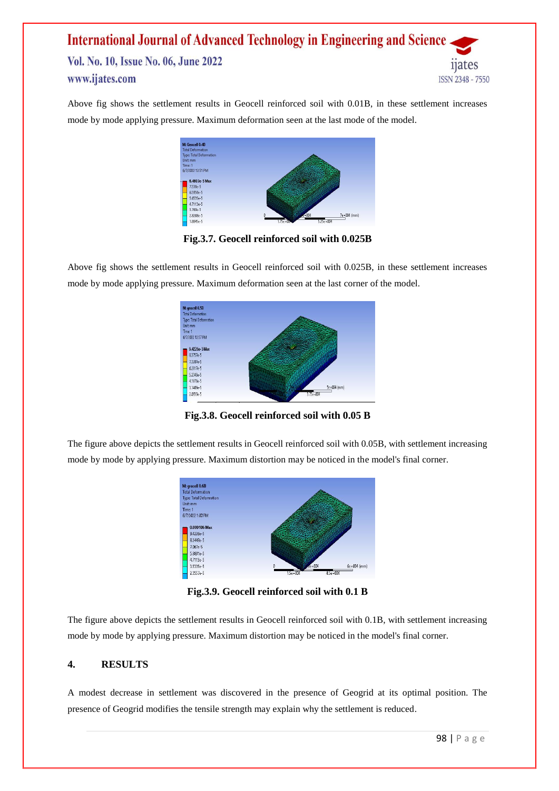Above fig shows the settlement results in Geocell reinforced soil with 0.01B, in these settlement increases mode by mode applying pressure. Maximum deformation seen at the last mode of the model.



**Fig.3.7. Geocell reinforced soil with 0.025B**

Above fig shows the settlement results in Geocell reinforced soil with 0.025B, in these settlement increases mode by mode applying pressure. Maximum deformation seen at the last corner of the model.



**Fig.3.8. Geocell reinforced soil with 0.05 B**

The figure above depicts the settlement results in Geocell reinforced soil with 0.05B, with settlement increasing mode by mode by applying pressure. Maximum distortion may be noticed in the model's final corner.



**Fig.3.9. Geocell reinforced soil with 0.1 B**

The figure above depicts the settlement results in Geocell reinforced soil with 0.1B, with settlement increasing mode by mode by applying pressure. Maximum distortion may be noticed in the model's final corner.

# **4. RESULTS**

A modest decrease in settlement was discovered in the presence of Geogrid at its optimal position. The presence of Geogrid modifies the tensile strength may explain why the settlement is reduced.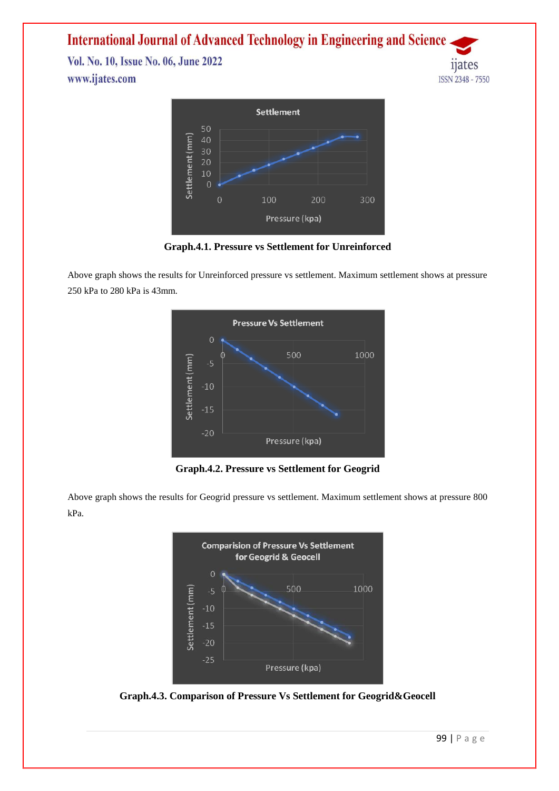# **International Journal of Advanced Technology in Engineering and Science**

Vol. No. 10, Issue No. 06, June 2022 www.ijates.com



**Graph.4.1. Pressure vs Settlement for Unreinforced**

Above graph shows the results for Unreinforced pressure vs settlement. Maximum settlement shows at pressure 250 kPa to 280 kPa is 43mm.



**Graph.4.2. Pressure vs Settlement for Geogrid**

Above graph shows the results for Geogrid pressure vs settlement. Maximum settlement shows at pressure 800 kPa.



**Graph.4.3. Comparison of Pressure Vs Settlement for Geogrid&Geocell**

*nates* 

**ISSN 2348 - 7550**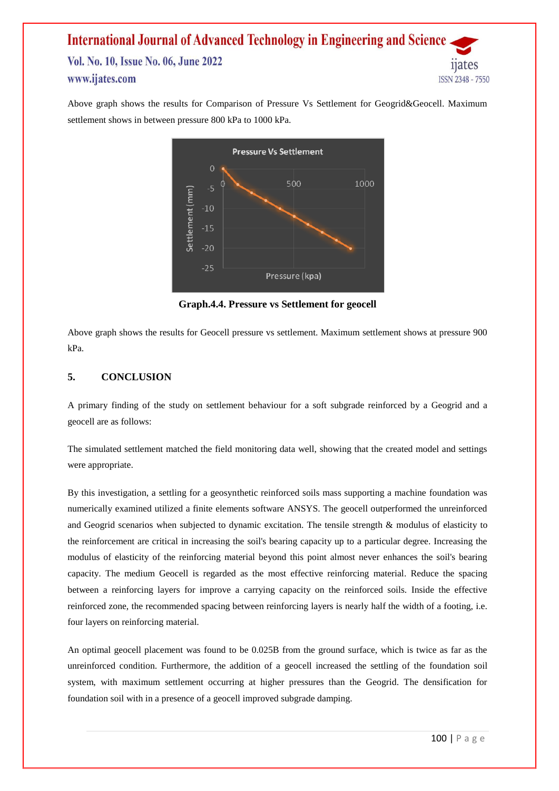Above graph shows the results for Comparison of Pressure Vs Settlement for Geogrid&Geocell. Maximum settlement shows in between pressure 800 kPa to 1000 kPa.



**Graph.4.4. Pressure vs Settlement for geocell**

Above graph shows the results for Geocell pressure vs settlement. Maximum settlement shows at pressure 900 kPa.

# **5. CONCLUSION**

A primary finding of the study on settlement behaviour for a soft subgrade reinforced by a Geogrid and a geocell are as follows:

The simulated settlement matched the field monitoring data well, showing that the created model and settings were appropriate.

By this investigation, a settling for a geosynthetic reinforced soils mass supporting a machine foundation was numerically examined utilized a finite elements software ANSYS. The geocell outperformed the unreinforced and Geogrid scenarios when subjected to dynamic excitation. The tensile strength & modulus of elasticity to the reinforcement are critical in increasing the soil's bearing capacity up to a particular degree. Increasing the modulus of elasticity of the reinforcing material beyond this point almost never enhances the soil's bearing capacity. The medium Geocell is regarded as the most effective reinforcing material. Reduce the spacing between a reinforcing layers for improve a carrying capacity on the reinforced soils. Inside the effective reinforced zone, the recommended spacing between reinforcing layers is nearly half the width of a footing, i.e. four layers on reinforcing material.

An optimal geocell placement was found to be 0.025B from the ground surface, which is twice as far as the unreinforced condition. Furthermore, the addition of a geocell increased the settling of the foundation soil system, with maximum settlement occurring at higher pressures than the Geogrid. The densification for foundation soil with in a presence of a geocell improved subgrade damping.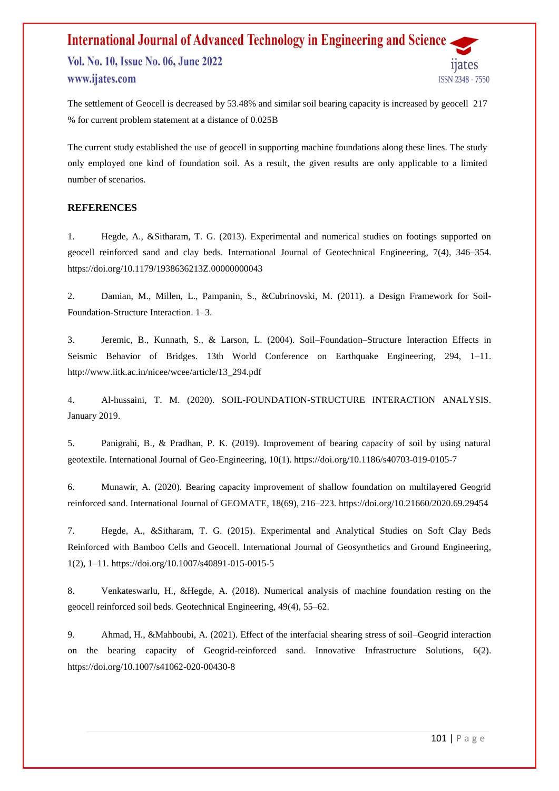The settlement of Geocell is decreased by 53.48% and similar soil bearing capacity is increased by geocell 217 % for current problem statement at a distance of 0.025B

The current study established the use of geocell in supporting machine foundations along these lines. The study only employed one kind of foundation soil. As a result, the given results are only applicable to a limited number of scenarios.

### **REFERENCES**

1. Hegde, A., &Sitharam, T. G. (2013). Experimental and numerical studies on footings supported on geocell reinforced sand and clay beds. International Journal of Geotechnical Engineering, 7(4), 346–354. https://doi.org/10.1179/1938636213Z.00000000043

2. Damian, M., Millen, L., Pampanin, S., &Cubrinovski, M. (2011). a Design Framework for Soil-Foundation-Structure Interaction. 1–3.

3. Jeremic, B., Kunnath, S., & Larson, L. (2004). Soil–Foundation–Structure Interaction Effects in Seismic Behavior of Bridges. 13th World Conference on Earthquake Engineering, 294, 1–11. http://www.iitk.ac.in/nicee/wcee/article/13\_294.pdf

4. Al-hussaini, T. M. (2020). SOIL-FOUNDATION-STRUCTURE INTERACTION ANALYSIS. January 2019.

5. Panigrahi, B., & Pradhan, P. K. (2019). Improvement of bearing capacity of soil by using natural geotextile. International Journal of Geo-Engineering, 10(1). https://doi.org/10.1186/s40703-019-0105-7

6. Munawir, A. (2020). Bearing capacity improvement of shallow foundation on multilayered Geogrid reinforced sand. International Journal of GEOMATE, 18(69), 216–223. https://doi.org/10.21660/2020.69.29454

7. Hegde, A., &Sitharam, T. G. (2015). Experimental and Analytical Studies on Soft Clay Beds Reinforced with Bamboo Cells and Geocell. International Journal of Geosynthetics and Ground Engineering, 1(2), 1–11. https://doi.org/10.1007/s40891-015-0015-5

8. Venkateswarlu, H., &Hegde, A. (2018). Numerical analysis of machine foundation resting on the geocell reinforced soil beds. Geotechnical Engineering, 49(4), 55–62.

9. Ahmad, H., &Mahboubi, A. (2021). Effect of the interfacial shearing stress of soil–Geogrid interaction on the bearing capacity of Geogrid-reinforced sand. Innovative Infrastructure Solutions, 6(2). https://doi.org/10.1007/s41062-020-00430-8